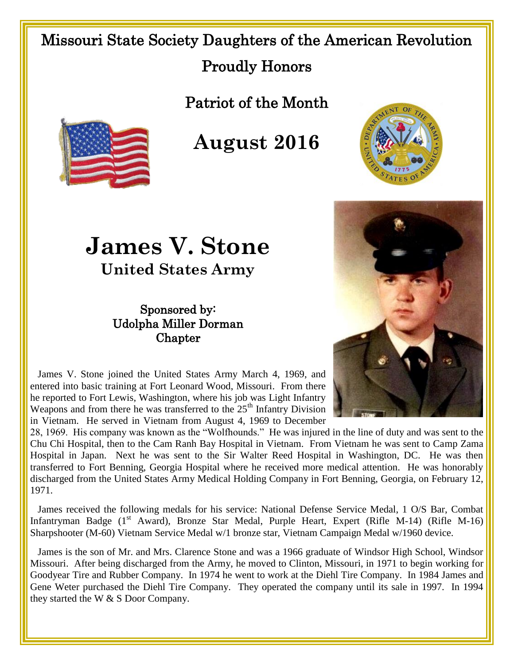## Missouri State Society Daughters of the American Revolution Proudly Honors

Patriot of the Month



**August 2016**

## **James V. Stone**

**United States Army**

## Sponsored by: Udolpha Miller Dorman **Chapter**





 James V. Stone joined the United States Army March 4, 1969, and entered into basic training at Fort Leonard Wood, Missouri. From there he reported to Fort Lewis, Washington, where his job was Light Infantry Weapons and from there he was transferred to the  $25<sup>th</sup>$  Infantry Division in Vietnam. He served in Vietnam from August 4, 1969 to December

28, 1969. His company was known as the "Wolfhounds." He was injured in the line of duty and was sent to the Chu Chi Hospital, then to the Cam Ranh Bay Hospital in Vietnam. From Vietnam he was sent to Camp Zama Hospital in Japan. Next he was sent to the Sir Walter Reed Hospital in Washington, DC. He was then transferred to Fort Benning, Georgia Hospital where he received more medical attention. He was honorably discharged from the United States Army Medical Holding Company in Fort Benning, Georgia, on February 12, 1971.

 James received the following medals for his service: National Defense Service Medal, 1 O/S Bar, Combat Infantryman Badge (1<sup>st</sup> Award), Bronze Star Medal, Purple Heart, Expert (Rifle M-14) (Rifle M-16) Sharpshooter (M-60) Vietnam Service Medal w/1 bronze star, Vietnam Campaign Medal w/1960 device.

 James is the son of Mr. and Mrs. Clarence Stone and was a 1966 graduate of Windsor High School, Windsor Missouri. After being discharged from the Army, he moved to Clinton, Missouri, in 1971 to begin working for Goodyear Tire and Rubber Company. In 1974 he went to work at the Diehl Tire Company. In 1984 James and Gene Weter purchased the Diehl Tire Company. They operated the company until its sale in 1997. In 1994 they started the W & S Door Company.